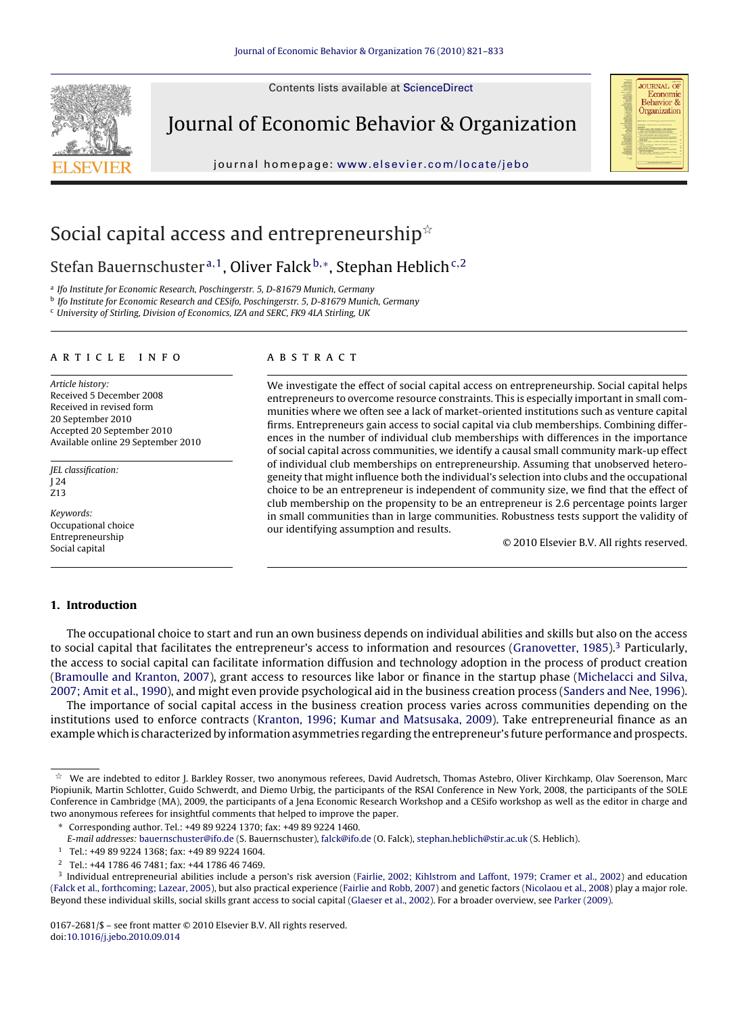Contents lists available at [ScienceDirect](http://www.sciencedirect.com/science/journal/01672681)



Journal of Economic Behavior & Organization

journal homepage: [www.elsevier.com/locate/jebo](http://www.elsevier.com/locate/jebo)



## Social capital access and entrepreneurship $^{\scriptscriptstyle\mathrm{\star}}$

### Stefan Bauernschuster<sup>a,1</sup>, Oliver Falck<sup>b,∗</sup>, Stephan Heblich<sup>c,2</sup>

a Ifo Institute for Economic Research, Poschingerstr. 5, D-81679 Munich, Germany

b Ifo Institute for Economic Research and CESifo, Poschingerstr. 5, D-81679 Munich, Germany

<sup>c</sup> University of Stirling, Division of Economics, IZA and SERC, FK9 4LA Stirling, UK

#### article info

Article history: Received 5 December 2008 Received in revised form 20 September 2010 Accepted 20 September 2010 Available online 29 September 2010

JEL classification: J 24 Z13

Keywords: Occupational choice Entrepreneurship Social capital

#### ABSTRACT

We investigate the effect of social capital access on entrepreneurship. Social capital helps entrepreneurs to overcome resource constraints. This is especially important in small communities where we often see a lack of market-oriented institutions such as venture capital firms. Entrepreneurs gain access to social capital via club memberships. Combining differences in the number of individual club memberships with differences in the importance of social capital across communities, we identify a causal small community mark-up effect of individual club memberships on entrepreneurship. Assuming that unobserved heterogeneity that might influence both the individual's selection into clubs and the occupational choice to be an entrepreneur is independent of community size, we find that the effect of club membership on the propensity to be an entrepreneur is 2.6 percentage points larger in small communities than in large communities. Robustness tests support the validity of our identifying assumption and results.

© 2010 Elsevier B.V. All rights reserved.

#### **1. Introduction**

The occupational choice to start and run an own business depends on individual abilities and skills but also on the access to social capital that facilitates the entrepreneur's access to information and resources ([Granovetter, 1985\).](#page--1-0)<sup>3</sup> Particularly, the access to social capital can facilitate information diffusion and technology adoption in the process of product creation [\(Bramoulle and Kranton, 2007\),](#page--1-0) grant access to resources like labor or finance in the startup phase ([Michelacci and Silva,](#page--1-0) [2007; Amit et al., 1990\),](#page--1-0) and might even provide psychological aid in the business creation process ([Sanders and Nee, 1996\).](#page--1-0)

The importance of social capital access in the business creation process varies across communities depending on the institutions used to enforce contracts [\(Kranton, 1996; Kumar and Matsusaka, 2009\).](#page--1-0) Take entrepreneurial finance as an example which is characterized by information asymmetries regarding the entrepreneur's future performance and prospects.

- <sup>1</sup> Tel.: +49 89 9224 1368; fax: +49 89 9224 1604.
- <sup>2</sup> Tel.: +44 1786 46 7481; fax: +44 1786 46 7469.

<sup>3</sup> Individual entrepreneurial abilities include a person's risk aversion [\(Fairlie, 2002; Kihlstrom and Laffont, 1979; Cramer et al., 2002\) a](#page--1-0)nd education [\(Falck et al., forthcoming; Lazear, 2005\),](#page--1-0) but also practical experience [\(Fairlie and Robb, 2007\) a](#page--1-0)nd genetic factors ([Nicolaou et al., 2008\) p](#page--1-0)lay a major role. Beyond these individual skills, social skills grant access to social capital [\(Glaeser et al., 2002\).](#page--1-0) For a broader overview, see [Parker \(2009\).](#page--1-0)

 $^\star$  We are indebted to editor J. Barkley Rosser, two anonymous referees, David Audretsch, Thomas Astebro, Oliver Kirchkamp, Olav Soerenson, Marc Piopiunik, Martin Schlotter, Guido Schwerdt, and Diemo Urbig, the participants of the RSAI Conference in New York, 2008, the participants of the SOLE Conference in Cambridge (MA), 2009, the participants of a Jena Economic Research Workshop and a CESifo workshop as well as the editor in charge and two anonymous referees for insightful comments that helped to improve the paper.

<sup>∗</sup> Corresponding author. Tel.: +49 89 9224 1370; fax: +49 89 9224 1460.

E-mail addresses: [bauernschuster@ifo.de](mailto:bauernschuster@ifo.de) (S. Bauernschuster), [falck@ifo.de](mailto:falck@ifo.de) (O. Falck), [stephan.heblich@stir.ac.uk](mailto:stephan.heblich@stir.ac.uk) (S. Heblich).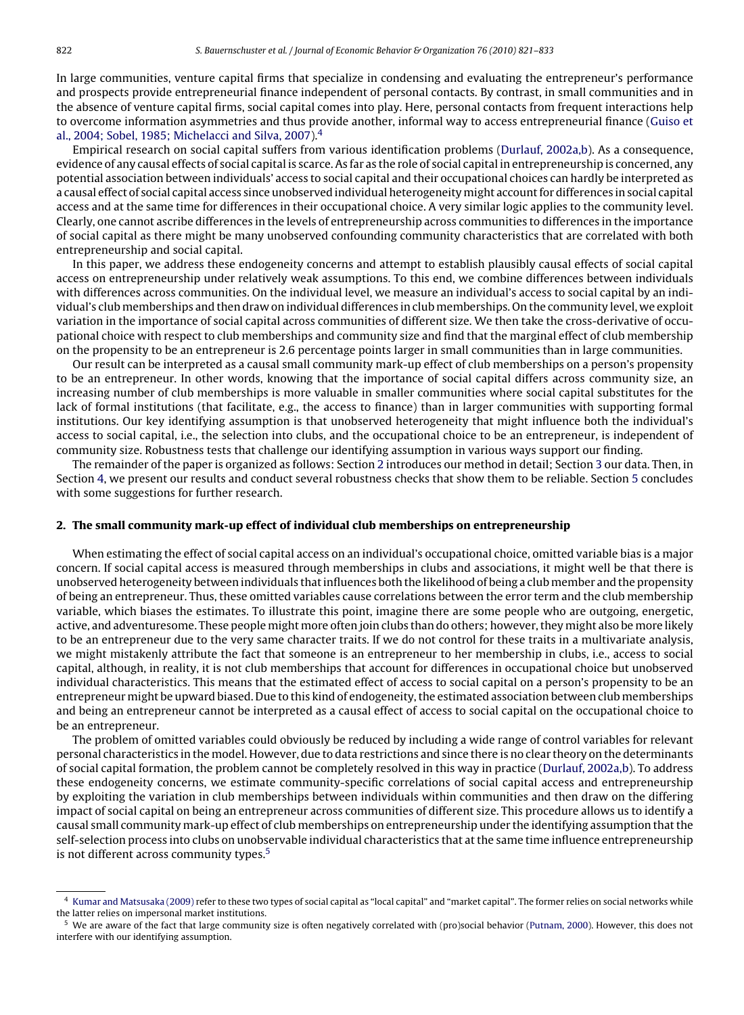In large communities, venture capital firms that specialize in condensing and evaluating the entrepreneur's performance and prospects provide entrepreneurial finance independent of personal contacts. By contrast, in small communities and in the absence of venture capital firms, social capital comes into play. Here, personal contacts from frequent interactions help to overcome information asymmetries and thus provide another, informal way to access entrepreneurial finance [\(Guiso et](#page--1-0) [al., 2004; Sobel, 1985; Michelacci and Silva, 2007\).](#page--1-0)4

Empirical research on social capital suffers from various identification problems ([Durlauf, 2002a,b\).](#page--1-0) As a consequence, evidence of any causal effects of social capital is scarce. As far as the role of social capital in entrepreneurship is concerned, any potential association between individuals' access to social capital and their occupational choices can hardly be interpreted as a causal effect of social capital access since unobserved individual heterogeneitymight account for differences in social capital access and at the same time for differences in their occupational choice. A very similar logic applies to the community level. Clearly, one cannot ascribe differences in the levels of entrepreneurship across communities to differences in the importance of social capital as there might be many unobserved confounding community characteristics that are correlated with both entrepreneurship and social capital.

In this paper, we address these endogeneity concerns and attempt to establish plausibly causal effects of social capital access on entrepreneurship under relatively weak assumptions. To this end, we combine differences between individuals with differences across communities. On the individual level, we measure an individual's access to social capital by an individual's club memberships and then draw on individual differences in club memberships. On the community level, we exploit variation in the importance of social capital across communities of different size. We then take the cross-derivative of occupational choice with respect to club memberships and community size and find that the marginal effect of club membership on the propensity to be an entrepreneur is 2.6 percentage points larger in small communities than in large communities.

Our result can be interpreted as a causal small community mark-up effect of club memberships on a person's propensity to be an entrepreneur. In other words, knowing that the importance of social capital differs across community size, an increasing number of club memberships is more valuable in smaller communities where social capital substitutes for the lack of formal institutions (that facilitate, e.g., the access to finance) than in larger communities with supporting formal institutions. Our key identifying assumption is that unobserved heterogeneity that might influence both the individual's access to social capital, i.e., the selection into clubs, and the occupational choice to be an entrepreneur, is independent of community size. Robustness tests that challenge our identifying assumption in various ways support our finding.

The remainder of the paper is organized as follows: Section 2 introduces our method in detail; Section [3](#page--1-0) our data. Then, in Section [4, w](#page--1-0)e present our results and conduct several robustness checks that show them to be reliable. Section [5](#page--1-0) concludes with some suggestions for further research.

#### **2. The small community mark-up effect of individual club memberships on entrepreneurship**

When estimating the effect of social capital access on an individual's occupational choice, omitted variable bias is a major concern. If social capital access is measured through memberships in clubs and associations, it might well be that there is unobserved heterogeneity between individuals that influences both the likelihood of being a club member and the propensity of being an entrepreneur. Thus, these omitted variables cause correlations between the error term and the club membership variable, which biases the estimates. To illustrate this point, imagine there are some people who are outgoing, energetic, active, and adventuresome. These people might more often join clubs than do others; however, they might also be more likely to be an entrepreneur due to the very same character traits. If we do not control for these traits in a multivariate analysis, we might mistakenly attribute the fact that someone is an entrepreneur to her membership in clubs, i.e., access to social capital, although, in reality, it is not club memberships that account for differences in occupational choice but unobserved individual characteristics. This means that the estimated effect of access to social capital on a person's propensity to be an entrepreneur might be upward biased. Due to this kind of endogeneity, the estimated association between club memberships and being an entrepreneur cannot be interpreted as a causal effect of access to social capital on the occupational choice to be an entrepreneur.

The problem of omitted variables could obviously be reduced by including a wide range of control variables for relevant personal characteristics in the model. However, due to data restrictions and since there is no clear theory on the determinants of social capital formation, the problem cannot be completely resolved in this way in practice [\(Durlauf, 2002a,b\).](#page--1-0) To address these endogeneity concerns, we estimate community-specific correlations of social capital access and entrepreneurship by exploiting the variation in club memberships between individuals within communities and then draw on the differing impact of social capital on being an entrepreneur across communities of different size. This procedure allows us to identify a causal small community mark-up effect of club memberships on entrepreneurship under the identifying assumption that the self-selection process into clubs on unobservable individual characteristics that at the same time influence entrepreneurship is not different across community types.<sup>5</sup>

<sup>4</sup> [Kumar and Matsusaka \(2009\)](#page--1-0) refer to these two types of social capital as "local capital" and "market capital". The former relies on social networks while the latter relies on impersonal market institutions.

<sup>5</sup> We are aware of the fact that large community size is often negatively correlated with (pro)social behavior ([Putnam, 2000\).](#page--1-0) However, this does not interfere with our identifying assumption.